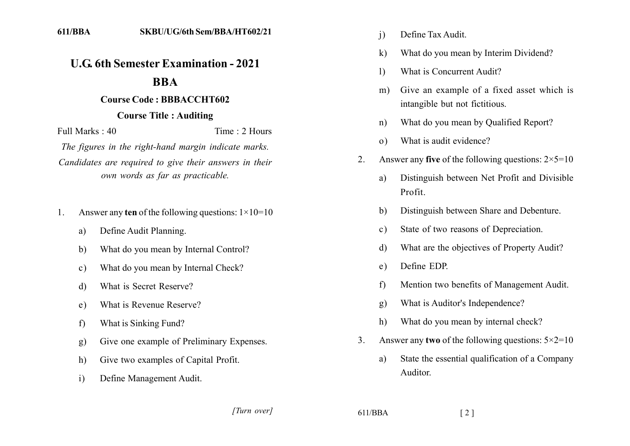## **11.6** 6th Semester Examination - 2021

## **1211**

## **2121111212112111112211111**

## **221212 Course Title: Auditing**

 $Full Marks: 40$  Time 2 Hours

*The figures in the right-hand margin indicate marks.* Candidates are required to give their answers in their *own words as far as practicable.* 

- 1. Answer any **ten** of the following questions:  $1 \times 10 = 10$ 
	- a) Define Audit Planning.
	- b) What do you mean by Internal Control?
	- c) What do you mean by Internal Check?
	- d) What is Secret Reserve?
	- e) What is Revenue Reserve?
	- f) What is Sinking Fund?
	- g) Give one example of Preliminary Expenses.
	- h) Give two examples of Capital Profit.
	- i) Define Management Audit.
- i) Define Tax Audit.
- k) What do you mean by Interim Dividend?
- 1) What is Concurrent Audit?
- m) Give an example of a fixed asset which is intangible but not fictitious.
- n) What do you mean by Qualified Report?
- o) What is audit evidence?
- 2. Answer any **five** of the following questions:  $2 \times 5 = 10$ 
	- a) Distinguish between Net Profit and Divisible Profit.
	- b) Distinguish between Share and Debenture.
	- c) State of two reasons of Depreciation.
	- d) What are the objectives of Property Audit?
	- e) Define EDP.
	- f) Mention two benefits of Management Audit.
	- g) What is Auditor's Independence?
	- h) What do you mean by internal check?
- 3. Answer any **two** of the following questions:  $5 \times 2 = 10$ 
	- a) State the essential qualification of a Company Auditor.

*]]]]]] ]]]]]*

611/BBA [2]